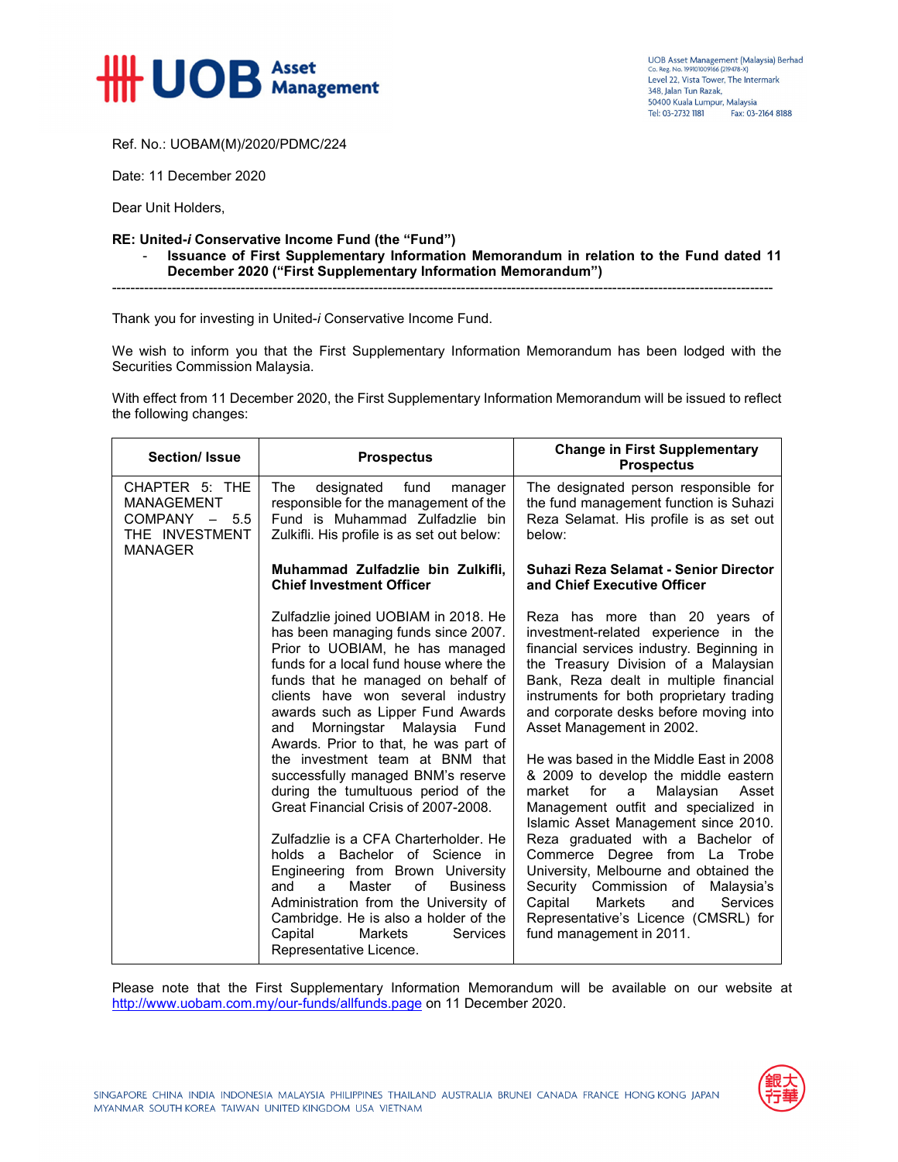

Ref. No.: UOBAM(M)/2020/PDMC/224

Date: 11 December 2020

Dear Unit Holders,

## **RE: United-***i* **Conservative Income Fund (the "Fund")**

- **Issuance of First Supplementary Information Memorandum in relation to the Fund dated 11 December 2020 ("First Supplementary Information Memorandum")** 

Thank you for investing in United-*i* Conservative Income Fund.

We wish to inform you that the First Supplementary Information Memorandum has been lodged with the Securities Commission Malaysia.

------------------------------------------------------------------------------------------------------------------------------------------------

With effect from 11 December 2020, the First Supplementary Information Memorandum will be issued to reflect the following changes:

| <b>Section/Issue</b>                                                                       | <b>Prospectus</b>                                                                                                                                                                                                                                                                                                                                                                                                                                                                                                                                                                                                                                                                                                                                                                                                                      | <b>Change in First Supplementary</b><br><b>Prospectus</b>                                                                                                                                                                                                                                                                                                                                                                                                                                                                                                                                                                                                                                                                                                                                                           |
|--------------------------------------------------------------------------------------------|----------------------------------------------------------------------------------------------------------------------------------------------------------------------------------------------------------------------------------------------------------------------------------------------------------------------------------------------------------------------------------------------------------------------------------------------------------------------------------------------------------------------------------------------------------------------------------------------------------------------------------------------------------------------------------------------------------------------------------------------------------------------------------------------------------------------------------------|---------------------------------------------------------------------------------------------------------------------------------------------------------------------------------------------------------------------------------------------------------------------------------------------------------------------------------------------------------------------------------------------------------------------------------------------------------------------------------------------------------------------------------------------------------------------------------------------------------------------------------------------------------------------------------------------------------------------------------------------------------------------------------------------------------------------|
| CHAPTER 5: THE<br><b>MANAGEMENT</b><br>$COMPANY - 5.5$<br>THE INVESTMENT<br><b>MANAGER</b> | designated fund<br>The<br>manager<br>responsible for the management of the<br>Fund is Muhammad Zulfadzlie bin<br>Zulkifli. His profile is as set out below:                                                                                                                                                                                                                                                                                                                                                                                                                                                                                                                                                                                                                                                                            | The designated person responsible for<br>the fund management function is Suhazi<br>Reza Selamat. His profile is as set out<br>below:                                                                                                                                                                                                                                                                                                                                                                                                                                                                                                                                                                                                                                                                                |
|                                                                                            | Muhammad Zulfadzlie bin Zulkifli,<br><b>Chief Investment Officer</b>                                                                                                                                                                                                                                                                                                                                                                                                                                                                                                                                                                                                                                                                                                                                                                   | Suhazi Reza Selamat - Senior Director<br>and Chief Executive Officer                                                                                                                                                                                                                                                                                                                                                                                                                                                                                                                                                                                                                                                                                                                                                |
|                                                                                            | Zulfadzlie joined UOBIAM in 2018. He<br>has been managing funds since 2007.<br>Prior to UOBIAM, he has managed<br>funds for a local fund house where the<br>funds that he managed on behalf of<br>clients have won several industry<br>awards such as Lipper Fund Awards<br>Morningstar Malaysia<br>Fund<br>and<br>Awards. Prior to that, he was part of<br>the investment team at BNM that<br>successfully managed BNM's reserve<br>during the tumultuous period of the<br>Great Financial Crisis of 2007-2008.<br>Zulfadzlie is a CFA Charterholder. He<br>holds a Bachelor of Science in<br>Engineering from Brown University<br>of<br>Master<br><b>Business</b><br>and<br>a.<br>Administration from the University of<br>Cambridge. He is also a holder of the<br>Capital<br>Markets<br><b>Services</b><br>Representative Licence. | Reza has more than 20 years of<br>investment-related experience in the<br>financial services industry. Beginning in<br>the Treasury Division of a Malaysian<br>Bank, Reza dealt in multiple financial<br>instruments for both proprietary trading<br>and corporate desks before moving into<br>Asset Management in 2002.<br>He was based in the Middle East in 2008<br>& 2009 to develop the middle eastern<br>market<br>for<br>Malaysian<br>Asset<br>a<br>Management outfit and specialized in<br>Islamic Asset Management since 2010.<br>Reza graduated with a Bachelor of<br>Commerce Degree from La Trobe<br>University, Melbourne and obtained the<br>Security Commission of<br>Malaysia's<br>Services<br>Capital<br><b>Markets</b><br>and<br>Representative's Licence (CMSRL) for<br>fund management in 2011. |

Please note that the First Supplementary Information Memorandum will be available on our website at http://www.uobam.com.my/our-funds/allfunds.page on 11 December 2020.